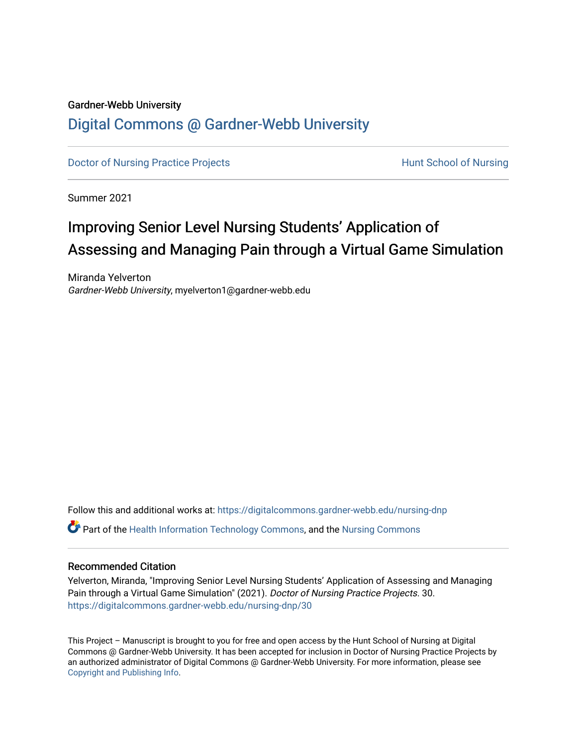# Gardner-Webb University

# [Digital Commons @ Gardner-Webb University](https://digitalcommons.gardner-webb.edu/)

[Doctor of Nursing Practice Projects](https://digitalcommons.gardner-webb.edu/nursing-dnp) **Exercise Exercise Serverse Hunt School of Nursing** 

Summer 2021

# Improving Senior Level Nursing Students' Application of Assessing and Managing Pain through a Virtual Game Simulation

Miranda Yelverton Gardner-Webb University, myelverton1@gardner-webb.edu

Follow this and additional works at: [https://digitalcommons.gardner-webb.edu/nursing-dnp](https://digitalcommons.gardner-webb.edu/nursing-dnp?utm_source=digitalcommons.gardner-webb.edu%2Fnursing-dnp%2F30&utm_medium=PDF&utm_campaign=PDFCoverPages)  Part of the [Health Information Technology Commons,](http://network.bepress.com/hgg/discipline/1239?utm_source=digitalcommons.gardner-webb.edu%2Fnursing-dnp%2F30&utm_medium=PDF&utm_campaign=PDFCoverPages) and the [Nursing Commons](http://network.bepress.com/hgg/discipline/718?utm_source=digitalcommons.gardner-webb.edu%2Fnursing-dnp%2F30&utm_medium=PDF&utm_campaign=PDFCoverPages)

# Recommended Citation

Yelverton, Miranda, "Improving Senior Level Nursing Students' Application of Assessing and Managing Pain through a Virtual Game Simulation" (2021). Doctor of Nursing Practice Projects. 30. [https://digitalcommons.gardner-webb.edu/nursing-dnp/30](https://digitalcommons.gardner-webb.edu/nursing-dnp/30?utm_source=digitalcommons.gardner-webb.edu%2Fnursing-dnp%2F30&utm_medium=PDF&utm_campaign=PDFCoverPages)

This Project – Manuscript is brought to you for free and open access by the Hunt School of Nursing at Digital Commons @ Gardner-Webb University. It has been accepted for inclusion in Doctor of Nursing Practice Projects by an authorized administrator of Digital Commons @ Gardner-Webb University. For more information, please see [Copyright and Publishing Info.](https://digitalcommons.gardner-webb.edu/copyright_publishing.html)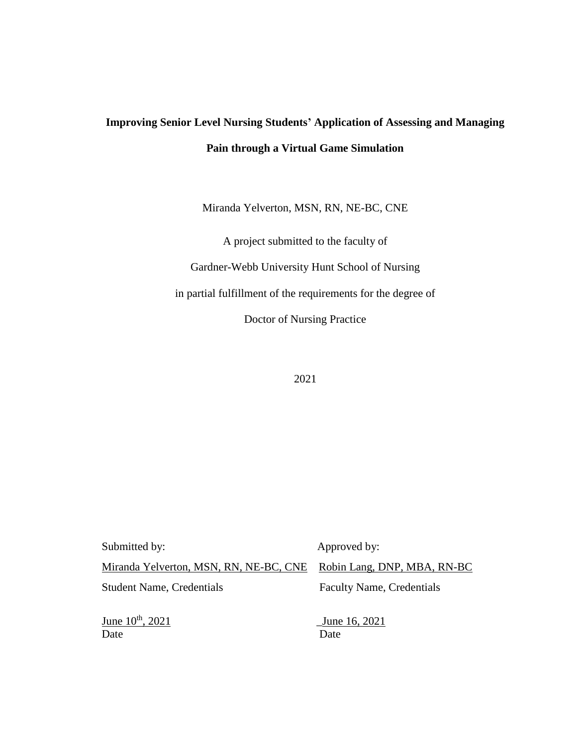# **Improving Senior Level Nursing Students' Application of Assessing and Managing Pain through a Virtual Game Simulation**

Miranda Yelverton, MSN, RN, NE-BC, CNE

A project submitted to the faculty of Gardner-Webb University Hunt School of Nursing in partial fulfillment of the requirements for the degree of Doctor of Nursing Practice

2021

| Submitted by:                          | Approved by:                     |
|----------------------------------------|----------------------------------|
| Miranda Yelverton, MSN, RN, NE-BC, CNE | Robin Lang, DNP, MBA, RN-BC      |
| <b>Student Name, Credentials</b>       | <b>Faculty Name, Credentials</b> |
| June 10 <sup>th</sup> , 2021<br>Date   | June 16, 2021<br>Date            |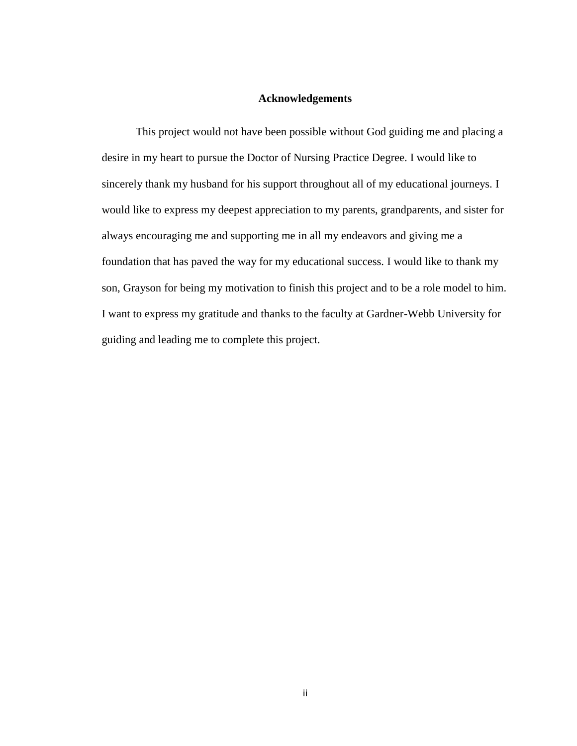# **Acknowledgements**

This project would not have been possible without God guiding me and placing a desire in my heart to pursue the Doctor of Nursing Practice Degree. I would like to sincerely thank my husband for his support throughout all of my educational journeys. I would like to express my deepest appreciation to my parents, grandparents, and sister for always encouraging me and supporting me in all my endeavors and giving me a foundation that has paved the way for my educational success. I would like to thank my son, Grayson for being my motivation to finish this project and to be a role model to him. I want to express my gratitude and thanks to the faculty at Gardner-Webb University for guiding and leading me to complete this project.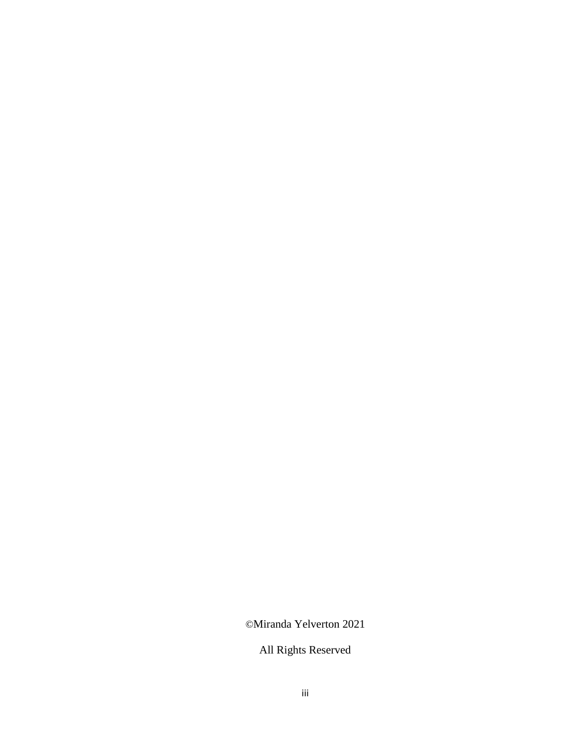©Miranda Yelverton 2021

All Rights Reserved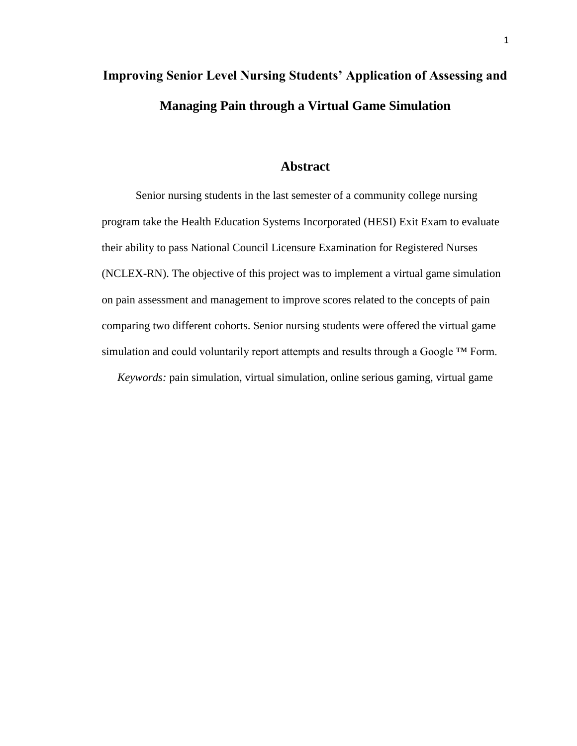# **Improving Senior Level Nursing Students' Application of Assessing and Managing Pain through a Virtual Game Simulation**

# **Abstract**

Senior nursing students in the last semester of a community college nursing program take the Health Education Systems Incorporated (HESI) Exit Exam to evaluate their ability to pass National Council Licensure Examination for Registered Nurses (NCLEX-RN). The objective of this project was to implement a virtual game simulation on pain assessment and management to improve scores related to the concepts of pain comparing two different cohorts. Senior nursing students were offered the virtual game simulation and could voluntarily report attempts and results through a Google ™ Form. *Keywords:* pain simulation, virtual simulation, online serious gaming, virtual game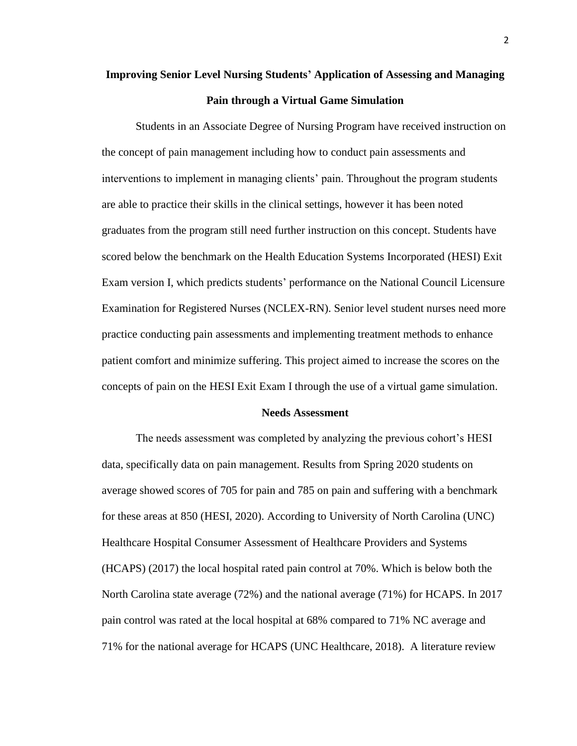# **Improving Senior Level Nursing Students' Application of Assessing and Managing Pain through a Virtual Game Simulation**

Students in an Associate Degree of Nursing Program have received instruction on the concept of pain management including how to conduct pain assessments and interventions to implement in managing clients' pain. Throughout the program students are able to practice their skills in the clinical settings, however it has been noted graduates from the program still need further instruction on this concept. Students have scored below the benchmark on the Health Education Systems Incorporated (HESI) Exit Exam version I, which predicts students' performance on the National Council Licensure Examination for Registered Nurses (NCLEX-RN). Senior level student nurses need more practice conducting pain assessments and implementing treatment methods to enhance patient comfort and minimize suffering. This project aimed to increase the scores on the concepts of pain on the HESI Exit Exam I through the use of a virtual game simulation.

#### **Needs Assessment**

The needs assessment was completed by analyzing the previous cohort's HESI data, specifically data on pain management. Results from Spring 2020 students on average showed scores of 705 for pain and 785 on pain and suffering with a benchmark for these areas at 850 (HESI, 2020). According to University of North Carolina (UNC) Healthcare Hospital Consumer Assessment of Healthcare Providers and Systems (HCAPS) (2017) the local hospital rated pain control at 70%. Which is below both the North Carolina state average (72%) and the national average (71%) for HCAPS. In 2017 pain control was rated at the local hospital at 68% compared to 71% NC average and 71% for the national average for HCAPS (UNC Healthcare, 2018). A literature review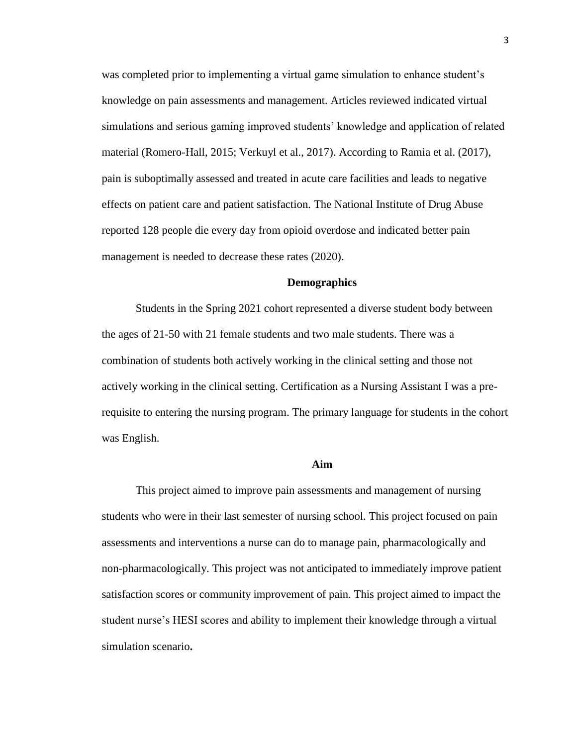was completed prior to implementing a virtual game simulation to enhance student's knowledge on pain assessments and management. Articles reviewed indicated virtual simulations and serious gaming improved students' knowledge and application of related material (Romero-Hall, 2015; Verkuyl et al., 2017). According to Ramia et al. (2017), pain is suboptimally assessed and treated in acute care facilities and leads to negative effects on patient care and patient satisfaction. The National Institute of Drug Abuse reported 128 people die every day from opioid overdose and indicated better pain management is needed to decrease these rates (2020).

# **Demographics**

Students in the Spring 2021 cohort represented a diverse student body between the ages of 21-50 with 21 female students and two male students. There was a combination of students both actively working in the clinical setting and those not actively working in the clinical setting. Certification as a Nursing Assistant I was a prerequisite to entering the nursing program. The primary language for students in the cohort was English.

## **Aim**

This project aimed to improve pain assessments and management of nursing students who were in their last semester of nursing school. This project focused on pain assessments and interventions a nurse can do to manage pain, pharmacologically and non-pharmacologically. This project was not anticipated to immediately improve patient satisfaction scores or community improvement of pain. This project aimed to impact the student nurse's HESI scores and ability to implement their knowledge through a virtual simulation scenario**.**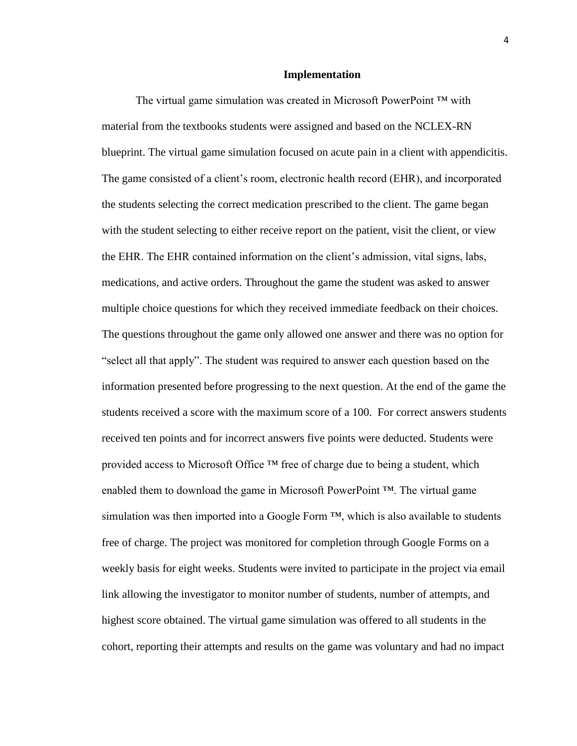#### **Implementation**

The virtual game simulation was created in Microsoft PowerPoint ™ with material from the textbooks students were assigned and based on the NCLEX-RN blueprint. The virtual game simulation focused on acute pain in a client with appendicitis. The game consisted of a client's room, electronic health record (EHR), and incorporated the students selecting the correct medication prescribed to the client. The game began with the student selecting to either receive report on the patient, visit the client, or view the EHR. The EHR contained information on the client's admission, vital signs, labs, medications, and active orders. Throughout the game the student was asked to answer multiple choice questions for which they received immediate feedback on their choices. The questions throughout the game only allowed one answer and there was no option for "select all that apply". The student was required to answer each question based on the information presented before progressing to the next question. At the end of the game the students received a score with the maximum score of a 100. For correct answers students received ten points and for incorrect answers five points were deducted. Students were provided access to Microsoft Office  $TM$  free of charge due to being a student, which enabled them to download the game in Microsoft PowerPoint  $TM$ . The virtual game simulation was then imported into a Google Form  $TM$ , which is also available to students free of charge. The project was monitored for completion through Google Forms on a weekly basis for eight weeks. Students were invited to participate in the project via email link allowing the investigator to monitor number of students, number of attempts, and highest score obtained. The virtual game simulation was offered to all students in the cohort, reporting their attempts and results on the game was voluntary and had no impact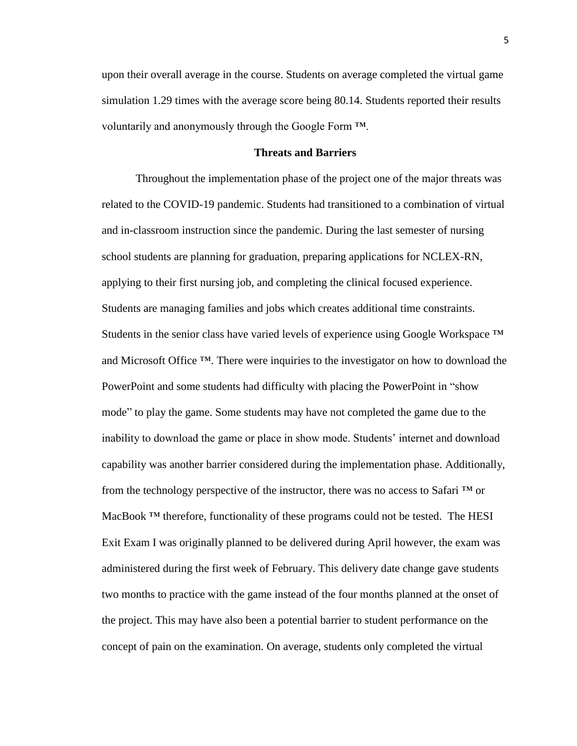upon their overall average in the course. Students on average completed the virtual game simulation 1.29 times with the average score being 80.14. Students reported their results voluntarily and anonymously through the Google Form ™.

# **Threats and Barriers**

Throughout the implementation phase of the project one of the major threats was related to the COVID-19 pandemic. Students had transitioned to a combination of virtual and in-classroom instruction since the pandemic. During the last semester of nursing school students are planning for graduation, preparing applications for NCLEX-RN, applying to their first nursing job, and completing the clinical focused experience. Students are managing families and jobs which creates additional time constraints. Students in the senior class have varied levels of experience using Google Workspace  $^{\text{TM}}$ and Microsoft Office ™. There were inquiries to the investigator on how to download the PowerPoint and some students had difficulty with placing the PowerPoint in "show mode" to play the game. Some students may have not completed the game due to the inability to download the game or place in show mode. Students' internet and download capability was another barrier considered during the implementation phase. Additionally, from the technology perspective of the instructor, there was no access to Safari  $TM$  or MacBook ™ therefore, functionality of these programs could not be tested.The HESI Exit Exam I was originally planned to be delivered during April however, the exam was administered during the first week of February. This delivery date change gave students two months to practice with the game instead of the four months planned at the onset of the project. This may have also been a potential barrier to student performance on the concept of pain on the examination. On average, students only completed the virtual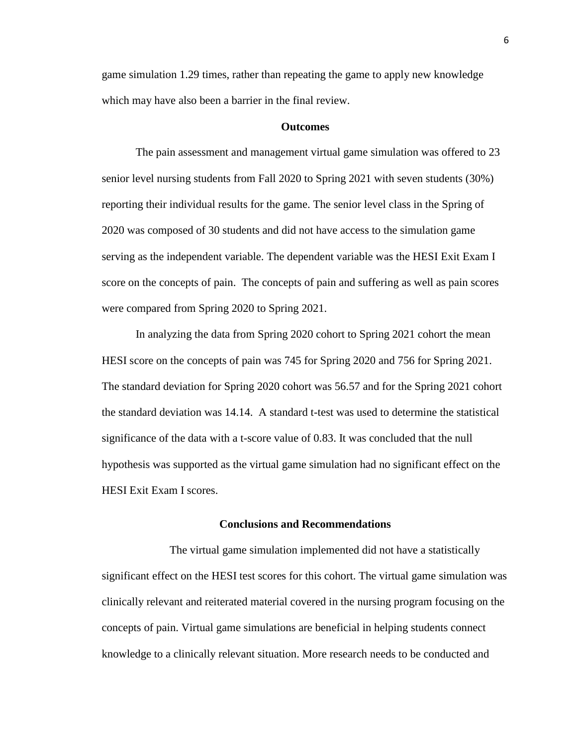game simulation 1.29 times, rather than repeating the game to apply new knowledge which may have also been a barrier in the final review.

#### **Outcomes**

The pain assessment and management virtual game simulation was offered to 23 senior level nursing students from Fall 2020 to Spring 2021 with seven students (30%) reporting their individual results for the game. The senior level class in the Spring of 2020 was composed of 30 students and did not have access to the simulation game serving as the independent variable. The dependent variable was the HESI Exit Exam I score on the concepts of pain. The concepts of pain and suffering as well as pain scores were compared from Spring 2020 to Spring 2021.

In analyzing the data from Spring 2020 cohort to Spring 2021 cohort the mean HESI score on the concepts of pain was 745 for Spring 2020 and 756 for Spring 2021. The standard deviation for Spring 2020 cohort was 56.57 and for the Spring 2021 cohort the standard deviation was 14.14. A standard t-test was used to determine the statistical significance of the data with a t-score value of 0.83. It was concluded that the null hypothesis was supported as the virtual game simulation had no significant effect on the HESI Exit Exam I scores.

# **Conclusions and Recommendations**

The virtual game simulation implemented did not have a statistically significant effect on the HESI test scores for this cohort. The virtual game simulation was clinically relevant and reiterated material covered in the nursing program focusing on the concepts of pain. Virtual game simulations are beneficial in helping students connect knowledge to a clinically relevant situation. More research needs to be conducted and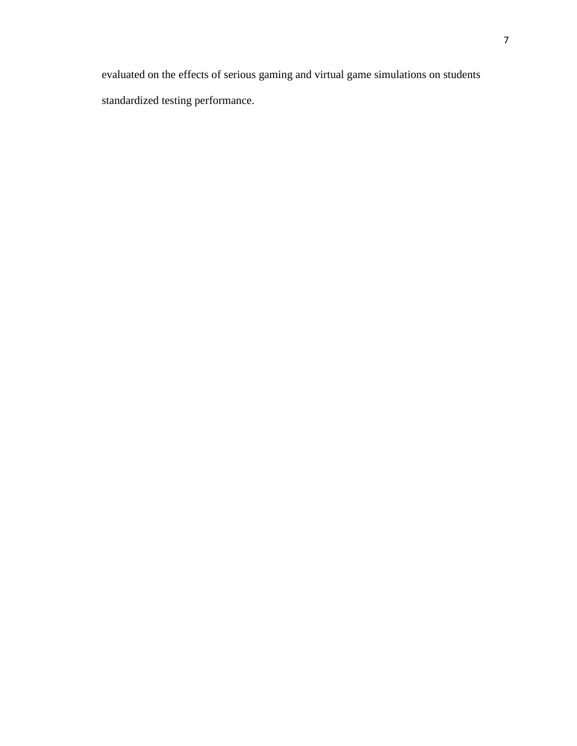evaluated on the effects of serious gaming and virtual game simulations on students standardized testing performance.